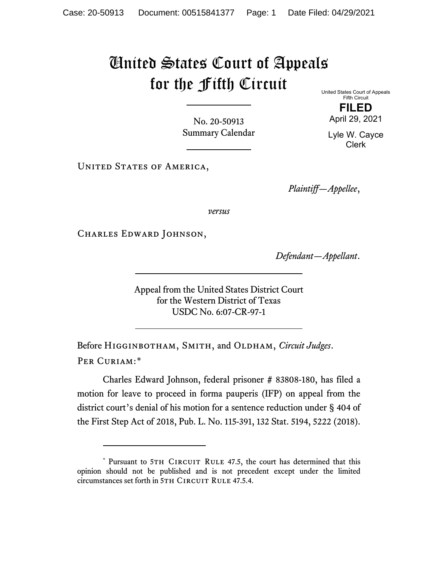## United States Court of Appeals for the Fifth Circuit United States Court of Appeals

No. 20-50913 Summary Calendar

UNITED STATES OF AMERICA,

April 29, 2021

Lyle W. Cayce Clerk

Fifth Circuit **FILED**

*Plaintiff—Appellee*,

*versus*

Charles Edward Johnson,

*Defendant—Appellant*.

Appeal from the United States District Court for the Western District of Texas USDC No. 6:07-CR-97-1

Before Higginbotham, Smith, and Oldham, *Circuit Judges*. Per Curiam:[\\*](#page-0-0)

Charles Edward Johnson, federal prisoner # 83808-180, has filed a motion for leave to proceed in forma pauperis (IFP) on appeal from the district court's denial of his motion for a sentence reduction under § 404 of the First Step Act of 2018, Pub. L. No. 115-391, 132 Stat. 5194, 5222 (2018).

<span id="page-0-0"></span><sup>\*</sup> Pursuant to 5TH CIRCUIT RULE 47.5, the court has determined that this opinion should not be published and is not precedent except under the limited circumstances set forth in 5TH CIRCUIT RULE 47.5.4.